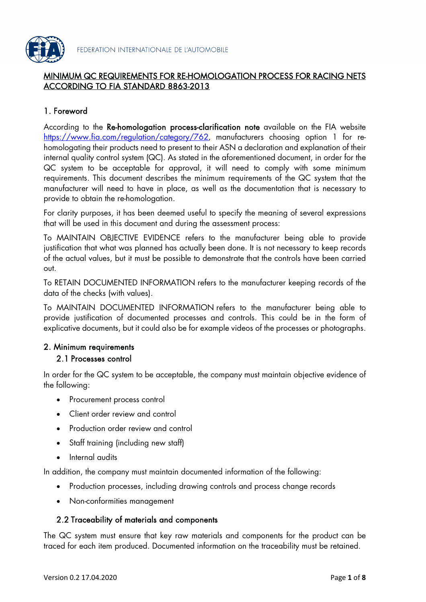

#### MINIMUM QC REQUIREMENTS FOR RE-HOMOLOGATION PROCESS FOR RACING NETS ACCORDING TO FIA STANDARD 8863-2013

# 1. Foreword

According to the Re-homologation process-clarification note available on the FIA website <https://www.fia.com/regulation/category/762>, manufacturers choosing option 1 for rehomologating their products need to present to their ASN a declaration and explanation of their internal quality control system (QC). As stated in the aforementioned document, in order for the QC system to be acceptable for approval, it will need to comply with some minimum requirements. This document describes the minimum requirements of the QC system that the manufacturer will need to have in place, as well as the documentation that is necessary to provide to obtain the re-homologation.

For clarity purposes, it has been deemed useful to specify the meaning of several expressions that will be used in this document and during the assessment process:

To MAINTAIN OBJECTIVE EVIDENCE refers to the manufacturer being able to provide justification that what was planned has actually been done. It is not necessary to keep records of the actual values, but it must be possible to demonstrate that the controls have been carried out.

To RETAIN DOCUMENTED INFORMATION refers to the manufacturer keeping records of the data of the checks (with values).

To MAINTAIN DOCUMENTED INFORMATION refers to the manufacturer being able to provide justification of documented processes and controls. This could be in the form of explicative documents, but it could also be for example videos of the processes or photographs.

#### 2. Minimum requirements

#### 2.1 Processes control

In order for the QC system to be acceptable, the company must maintain objective evidence of the following:

- Procurement process control
- Client order review and control
- Production order review and control
- Staff training (including new staff)
- Internal audits

In addition, the company must maintain documented information of the following:

- Production processes, including drawing controls and process change records
- Non-conformities management

#### 2.2 Traceability of materials and components

The QC system must ensure that key raw materials and components for the product can be traced for each item produced. Documented information on the traceability must be retained.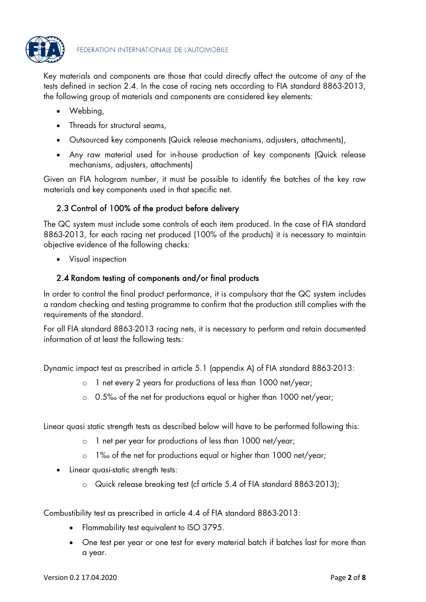

Key materials and components are those that could directly affect the outcome of any of the tests defined in section 2.4. In the case of racing nets according to FIA standard 8863-2013, the following group of materials and components are considered key elements:

- Webbing,
- Threads for structural seams,
- Outsourced key components (Quick release mechanisms, adjusters, attachments),
- Any raw material used for in-house production of key components (Quick release mechanisms, adjusters, attachments)

Given an FIA hologram number, it must be possible to identify the batches of the key raw materials and key components used in that specific net.

# 2.3 Control of 100% of the product before delivery

The QC system must include some controls of each item produced. In the case of FIA standard 8863-2013, for each racing net produced (100% of the products) it is necessary to maintain objective evidence of the following checks:

• Visual inspection

## 2.4 Random testing of components and/or final products

In order to control the final product performance, it is compulsory that the QC system includes a random checking and testing programme to confirm that the production still complies with the requirements of the standard.

For all FIA standard 8863-2013 racing nets, it is necessary to perform and retain documented information of at least the following tests:

Dynamic impact test as prescribed in article 5.1 (appendix A) of FIA standard 8863-2013:

- o 1 net every 2 years for productions of less than 1000 net/year;
- o 0.5‰ of the net for productions equal or higher than 1000 net/year;

Linear quasi static strength tests as described below will have to be performed following this:

- o 1 net per year for productions of less than 1000 net/year;
- o 1‰ of the net for productions equal or higher than 1000 net/year;
- Linear quasi-static strength tests:
	- o Quick release breaking test (cf article 5.4 of FIA standard 8863-2013);

Combustibility test as prescribed in article 4.4 of FIA standard 8863-2013:

- Flammability test equivalent to ISO 3795.
- One test per year or one test for every material batch if batches last for more than a year.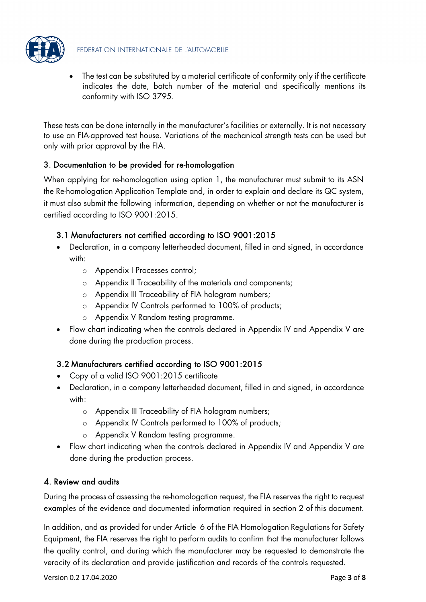

• The test can be substituted by a material certificate of conformity only if the certificate indicates the date, batch number of the material and specifically mentions its conformity with ISO 3795.

These tests can be done internally in the manufacturer's facilities or externally. It is not necessary to use an FIA-approved test house. Variations of the mechanical strength tests can be used but only with prior approval by the FIA.

## 3. Documentation to be provided for re-homologation

When applying for re-homologation using option 1, the manufacturer must submit to its ASN the Re-homologation Application Template and, in order to explain and declare its QC system, it must also submit the following information, depending on whether or not the manufacturer is certified according to ISO 9001:2015.

## 3.1 Manufacturers not certified according to ISO 9001:2015

- Declaration, in a company letterheaded document, filled in and signed, in accordance with:
	- o Appendix I Processes control;
	- o Appendix II Traceability of the materials and components;
	- o Appendix III Traceability of FIA hologram numbers;
	- o Appendix IV Controls performed to 100% of products;
	- o Appendix V Random testing programme.
- Flow chart indicating when the controls declared in Appendix IV and Appendix V are done during the production process.

# 3.2 Manufacturers certified according to ISO 9001:2015

- Copy of a valid ISO 9001:2015 certificate
- Declaration, in a company letterheaded document, filled in and signed, in accordance with:
	- o Appendix III Traceability of FIA hologram numbers;
	- o Appendix IV Controls performed to 100% of products;
	- o Appendix V Random testing programme.
- Flow chart indicating when the controls declared in Appendix IV and Appendix V are done during the production process.

# 4. Review and audits

During the process of assessing the re-homologation request, the FIA reserves the right to request examples of the evidence and documented information required in section 2 of this document.

In addition, and as provided for under Article 6 of the FIA Homologation Regulations for Safety Equipment, the FIA reserves the right to perform audits to confirm that the manufacturer follows the quality control, and during which the manufacturer may be requested to demonstrate the veracity of its declaration and provide justification and records of the controls requested.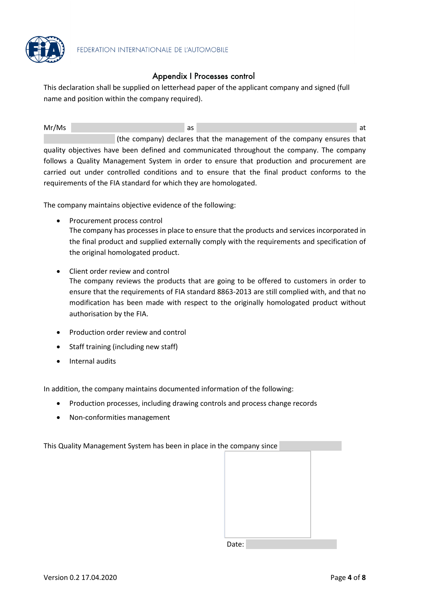

#### Appendix I Processes control

This declaration shall be supplied on letterhead paper of the applicant company and signed (full name and position within the company required).

Mr/Ms and the contract of the contract of the contract of the contract of the contract of the contract of the contract of the contract of the contract of the contract of the contract of the contract of the contract of the (the company) declares that the management of the company ensures that quality objectives have been defined and communicated throughout the company. The company follows a Quality Management System in order to ensure that production and procurement are carried out under controlled conditions and to ensure that the final product conforms to the requirements of the FIA standard for which they are homologated.

The company maintains objective evidence of the following:

- Procurement process control The company has processes in place to ensure that the products and services incorporated in the final product and supplied externally comply with the requirements and specification of the original homologated product.
- Client order review and control The company reviews the products that are going to be offered to customers in order to ensure that the requirements of FIA standard 8863-2013 are still complied with, and that no modification has been made with respect to the originally homologated product without authorisation by the FIA.
- Production order review and control
- Staff training (including new staff)
- Internal audits

In addition, the company maintains documented information of the following:

- Production processes, including drawing controls and process change records
- Non-conformities management

This Quality Management System has been in place in the company since

Date: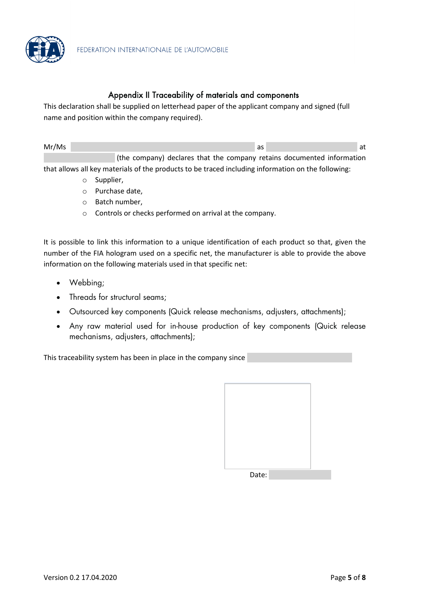

#### Appendix II Traceability of materials and components

This declaration shall be supplied on letterhead paper of the applicant company and signed (full name and position within the company required).

| Mr/Ms |                                                                        |  |  |  |  |
|-------|------------------------------------------------------------------------|--|--|--|--|
|       | (the company) declares that the company retains documented information |  |  |  |  |

that allows all key materials of the products to be traced including information on the following:

- o Supplier,
- o Purchase date,
- o Batch number,
- o Controls or checks performed on arrival at the company.

It is possible to link this information to a unique identification of each product so that, given the number of the FIA hologram used on a specific net, the manufacturer is able to provide the above information on the following materials used in that specific net:

- Webbing;
- Threads for structural seams;
- Outsourced key components (Quick release mechanisms, adjusters, attachments);
- Any raw material used for in-house production of key components (Quick release mechanisms, adjusters, attachments);

This traceability system has been in place in the company since

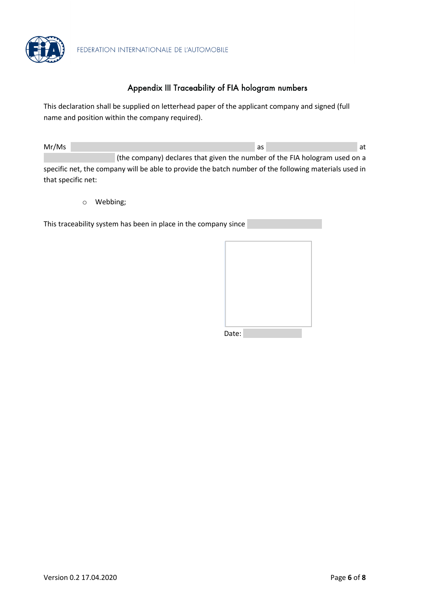

FEDERATION INTERNATIONALE DE L'AUTOMOBILE

## Appendix III Traceability of FIA hologram numbers

This declaration shall be supplied on letterhead paper of the applicant company and signed (full name and position within the company required).

Mr/Ms and the contract of the contract of the contract of the contract of the contract of the contract of the contract of the contract of the contract of the contract of the contract of the contract of the contract of the (the company) declares that given the number of the FIA hologram used on a specific net, the company will be able to provide the batch number of the following materials used in

o Webbing;

that specific net:

This traceability system has been in place in the company since

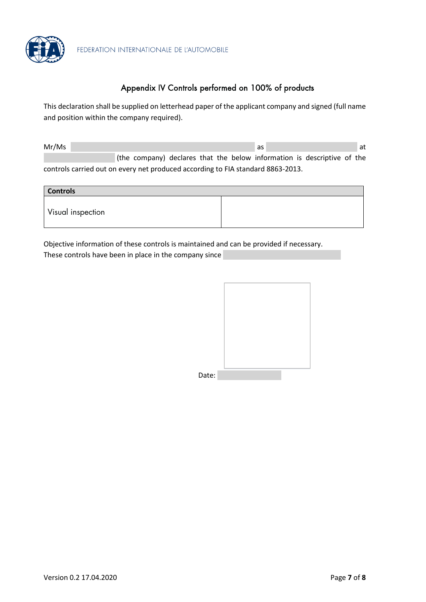

# Appendix IV Controls performed on 100% of products

This declaration shall be supplied on letterhead paper of the applicant company and signed (full name and position within the company required).

| Mr/Ms                                                                           |  |  |  |  |  | as |                                                                         |  | at |  |  |
|---------------------------------------------------------------------------------|--|--|--|--|--|----|-------------------------------------------------------------------------|--|----|--|--|
|                                                                                 |  |  |  |  |  |    | (the company) declares that the below information is descriptive of the |  |    |  |  |
| controls carried out on every net produced according to FIA standard 8863-2013. |  |  |  |  |  |    |                                                                         |  |    |  |  |

| <b>Controls</b>   |  |  |  |  |  |  |
|-------------------|--|--|--|--|--|--|
| Visual inspection |  |  |  |  |  |  |

Objective information of these controls is maintained and can be provided if necessary. These controls have been in place in the company since